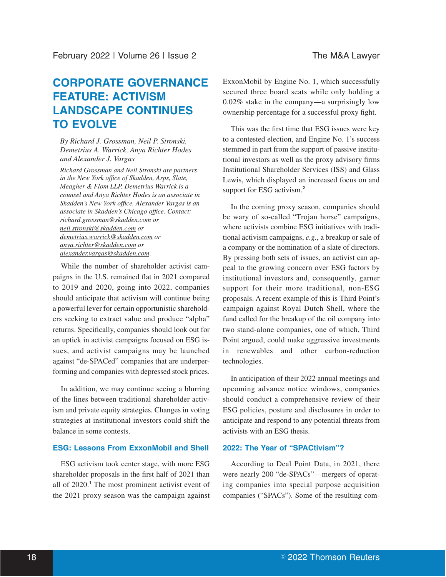# **CORPORATE GOVERNANCE FEATURE: ACTIVISM LANDSCAPE CONTINUES TO EVOLVE**

*By Richard J. Grossman, Neil P. Stronski, Demetrius A. Warrick, Anya Richter Hodes and Alexander J. Vargas*

*Richard Grossman and Neil Stronski are partners in the New York office of Skadden, Arps, Slate, Meagher & Flom LLP. Demetrius Warrick is a counsel and Anya Richter Hodes is an associate in Skadden's New York office. Alexander Vargas is an associate in Skadden's Chicago office. Contact: richard.grossman@skadden.com or neil.stronski@skadden.com or demetrius.warrick@skadden.com or anya.richter@skadden.com or alexander.vargas@skadden.com*.

While the number of shareholder activist campaigns in the U.S. remained flat in 2021 compared to 2019 and 2020, going into 2022, companies should anticipate that activism will continue being a powerful lever for certain opportunistic shareholders seeking to extract value and produce "alpha" returns. Specifically, companies should look out for an uptick in activist campaigns focused on ESG issues, and activist campaigns may be launched against "de-SPACed" companies that are underperforming and companies with depressed stock prices.

In addition, we may continue seeing a blurring of the lines between traditional shareholder activism and private equity strategies. Changes in voting strategies at institutional investors could shift the balance in some contests.

## **ESG: Lessons From ExxonMobil and Shell**

ESG activism took center stage, with more ESG shareholder proposals in the first half of 2021 than all of 2020.**<sup>1</sup>** The most prominent activist event of the 2021 proxy season was the campaign against ExxonMobil by Engine No. 1, which successfully secured three board seats while only holding a 0.02% stake in the company—a surprisingly low ownership percentage for a successful proxy fight.

This was the first time that ESG issues were key to a contested election, and Engine No. 1's success stemmed in part from the support of passive institutional investors as well as the proxy advisory firms Institutional Shareholder Services (ISS) and Glass Lewis, which displayed an increased focus on and support for ESG activism.**<sup>2</sup>**

In the coming proxy season, companies should be wary of so-called "Trojan horse" campaigns, where activists combine ESG initiatives with traditional activism campaigns, *e.g.*, a breakup or sale of a company or the nomination of a slate of directors. By pressing both sets of issues, an activist can appeal to the growing concern over ESG factors by institutional investors and, consequently, garner support for their more traditional, non-ESG proposals. A recent example of this is Third Point's campaign against Royal Dutch Shell, where the fund called for the breakup of the oil company into two stand-alone companies, one of which, Third Point argued, could make aggressive investments in renewables and other carbon-reduction technologies.

In anticipation of their 2022 annual meetings and upcoming advance notice windows, companies should conduct a comprehensive review of their ESG policies, posture and disclosures in order to anticipate and respond to any potential threats from activists with an ESG thesis.

## **2022: The Year of "SPACtivism"?**

According to Deal Point Data, in 2021, there were nearly 200 "de-SPACs"—mergers of operating companies into special purpose acquisition companies ("SPACs"). Some of the resulting com-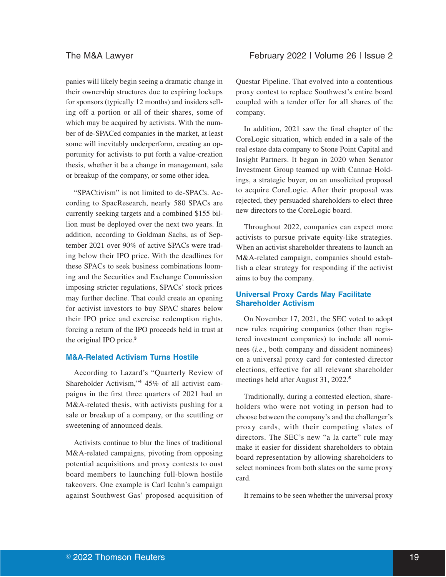panies will likely begin seeing a dramatic change in their ownership structures due to expiring lockups for sponsors (typically 12 months) and insiders selling off a portion or all of their shares, some of which may be acquired by activists. With the number of de-SPACed companies in the market, at least some will inevitably underperform, creating an opportunity for activists to put forth a value-creation thesis, whether it be a change in management, sale or breakup of the company, or some other idea.

"SPACtivism" is not limited to de-SPACs. According to SpacResearch, nearly 580 SPACs are currently seeking targets and a combined \$155 billion must be deployed over the next two years. In addition, according to Goldman Sachs, as of September 2021 over 90% of active SPACs were trading below their IPO price. With the deadlines for these SPACs to seek business combinations looming and the Securities and Exchange Commission imposing stricter regulations, SPACs' stock prices may further decline. That could create an opening for activist investors to buy SPAC shares below their IPO price and exercise redemption rights, forcing a return of the IPO proceeds held in trust at the original IPO price.**<sup>3</sup>**

## **M&A-Related Activism Turns Hostile**

According to Lazard's "Quarterly Review of Shareholder Activism,"**<sup>4</sup>** 45% of all activist campaigns in the first three quarters of 2021 had an M&A-related thesis, with activists pushing for a sale or breakup of a company, or the scuttling or sweetening of announced deals.

Activists continue to blur the lines of traditional M&A-related campaigns, pivoting from opposing potential acquisitions and proxy contests to oust board members to launching full-blown hostile takeovers. One example is Carl Icahn's campaign against Southwest Gas' proposed acquisition of

Questar Pipeline. That evolved into a contentious proxy contest to replace Southwest's entire board coupled with a tender offer for all shares of the company.

In addition, 2021 saw the final chapter of the CoreLogic situation, which ended in a sale of the real estate data company to Stone Point Capital and Insight Partners. It began in 2020 when Senator Investment Group teamed up with Cannae Holdings, a strategic buyer, on an unsolicited proposal to acquire CoreLogic. After their proposal was rejected, they persuaded shareholders to elect three new directors to the CoreLogic board.

Throughout 2022, companies can expect more activists to pursue private equity-like strategies. When an activist shareholder threatens to launch an M&A-related campaign, companies should establish a clear strategy for responding if the activist aims to buy the company.

## **Universal Proxy Cards May Facilitate Shareholder Activism**

On November 17, 2021, the SEC voted to adopt new rules requiring companies (other than registered investment companies) to include all nominees (*i.e*., both company and dissident nominees) on a universal proxy card for contested director elections, effective for all relevant shareholder meetings held after August 31, 2022.**<sup>5</sup>**

Traditionally, during a contested election, shareholders who were not voting in person had to choose between the company's and the challenger's proxy cards, with their competing slates of directors. The SEC's new "a la carte" rule may make it easier for dissident shareholders to obtain board representation by allowing shareholders to select nominees from both slates on the same proxy card.

It remains to be seen whether the universal proxy